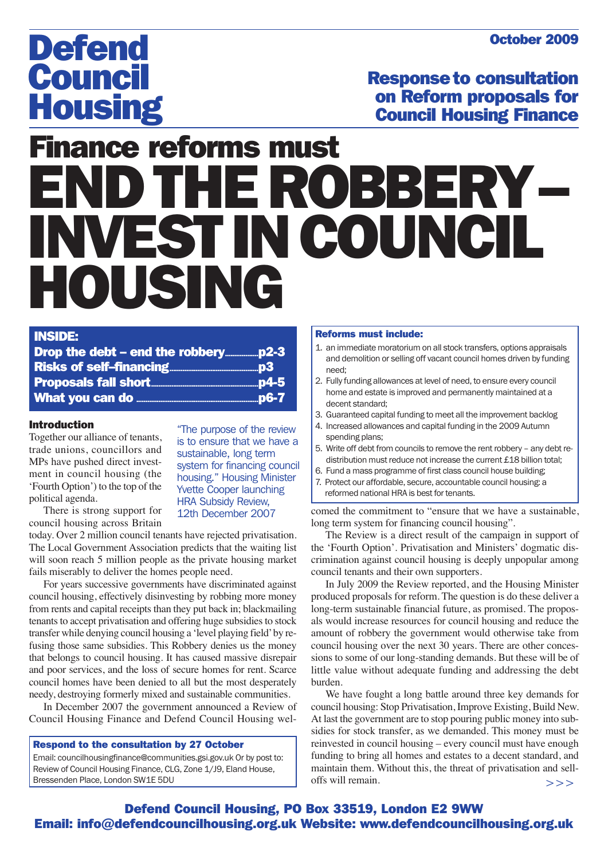### October 2009

# **Defend** Council **Housing**

Responseto consultation on Reform proposals for Council Housing Finance

# Finance reforms must ENDTHEROBBERY– INVEST IN COUNCIL HOUSING

#### INSIDE:

| . |  |
|---|--|
|   |  |
|   |  |
|   |  |
|   |  |
|   |  |

#### Introduction

Together our alliance of tenants, trade unions, councillors and MPs have pushed direct investment in council housing (the 'Fourth Option') to the top of the political agenda.

"The purpose of the review is to ensure that we have a sustainable, long term system for financing council housing." Housing Minister Yvette Cooper launching HRA Subsidy Review, 12th December 2007

There is strong support for council housing across Britain

today. Over 2 million council tenants have rejected privatisation. The Local Government Association predicts that the waiting list will soon reach 5 million people as the private housing market fails miserably to deliver the homes people need.

For years successive governments have discriminated against council housing, effectively disinvesting by robbing more money from rents and capital receipts than they put back in; blackmailing tenants to accept privatisation and offering huge subsidies to stock transfer while denying council housing a 'level playing field' by refusing those same subsidies. This Robbery denies us the money that belongs to council housing. It has caused massive disrepair and poor services, and the loss of secure homes for rent. Scarce council homes have been denied to all but the most desperately needy, destroying formerly mixed and sustainable communities.

In December 2007 the government announced a Review of Council Housing Finance and Defend Council Housing wel-

#### Respond to the consultation by 27 October

Email: councilhousingfinance@communities.gsi.gov.uk Or by post to: Review of Council Housing Finance, CLG, Zone 1/J9, Eland House, Bressenden Place, London SW1E 5DU

#### Reforms must include:

- 1. an immediate moratorium on all stock transfers, options appraisals and demolition or selling off vacant council homes driven by funding need;
- 2. Fully funding allowances at level of need, to ensure every council home and estate is improved and permanently maintained at a decent standard;
- 3. Guaranteed capital funding to meet all the improvement backlog
- 4. Increased allowances and capital funding in the 2009 Autumn spending plans;
- 5. Write off debt from councils to remove the rent robbery any debt redistribution must reduce not increase the current £18 billion total;
- 6. Fund a mass programme of first class council house building;
- 7. Protect our affordable, secure, accountable council housing: a reformed national HRA is best for tenants.

comed the commitment to "ensure that we have a sustainable, long term system for financing council housing".

The Review is a direct result of the campaign in support of the 'Fourth Option'. Privatisation and Ministers' dogmatic discrimination against council housing is deeply unpopular among council tenants and their own supporters.

In July 2009 the Review reported, and the Housing Minister produced proposals for reform. The question is do these deliver a long-term sustainable financial future, as promised. The proposals would increase resources for council housing and reduce the amount of robbery the government would otherwise take from council housing over the next 30 years. There are other concessions to some of our long-standing demands. But these will be of little value without adequate funding and addressing the debt burden.

We have fought a long battle around three key demands for council housing: Stop Privatisation, Improve Existing, Build New. At last the government are to stop pouring public money into subsidies for stock transfer, as we demanded. This money must be reinvested in council housing – every council must have enough funding to bring all homes and estates to a decent standard, and maintain them. Without this, the threat of privatisation and selloffs will remain. >>>

### Defend Council Housing, PO Box 33519, London E2 9WW Email: info@defendcouncilhousing.org.uk Website: www.defendcouncilhousing.org.uk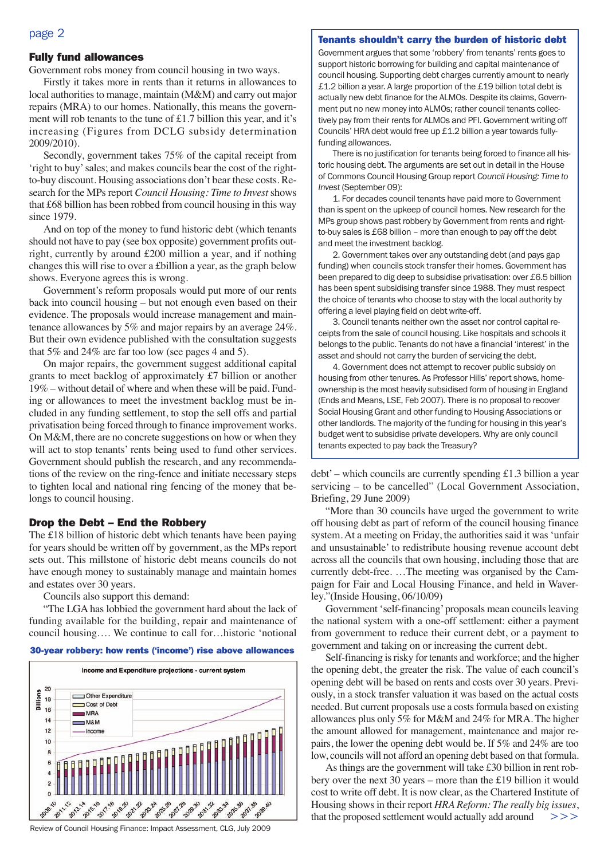#### Tenants shouldn't carry the burden of historic debt

#### page 2

#### Fully fund allowances

Government robs money from council housing in two ways.

Firstly it takes more in rents than it returns in allowances to local authorities to manage, maintain (M&M) and carry out major repairs (MRA) to our homes. Nationally, this means the government will rob tenants to the tune of £1.7 billion this year, and it's increasing (Figures from DCLG subsidy determination 2009/2010).

Secondly, government takes 75% of the capital receipt from 'right to buy' sales; and makes councils bear the cost of the rightto-buy discount. Housing associations don't bear these costs. Research for the MPs report *Council Housing: Time to Invest*shows that £68 billion has been robbed from council housing in this way since 1979.

And on top of the money to fund historic debt (which tenants should not have to pay (see box opposite) government profits outright, currently by around £200 million a year, and if nothing changes this will rise to over a £billion a year, as the graph below shows. Everyone agrees this is wrong.

Government's reform proposals would put more of our rents back into council housing – but not enough even based on their evidence. The proposals would increase management and maintenance allowances by 5% and major repairs by an average 24%. But their own evidence published with the consultation suggests that 5% and 24% are far too low (see pages 4 and 5).

On major repairs, the government suggest additional capital grants to meet backlog of approximately £7 billion or another 19% – without detail of where and when these will be paid. Funding or allowances to meet the investment backlog must be included in any funding settlement, to stop the sell offs and partial privatisation being forced through to finance improvement works. On M&M, there are no concrete suggestions on how or when they will act to stop tenants' rents being used to fund other services. Government should publish the research, and any recommendations of the review on the ring-fence and initiate necessary steps to tighten local and national ring fencing of the money that belongs to council housing.

#### Drop the Debt – End the Robbery

The £18 billion of historic debt which tenants have been paying for years should be written off by government, as the MPs report sets out. This millstone of historic debt means councils do not have enough money to sustainably manage and maintain homes and estates over 30 years.

Councils also support this demand:

"The LGA has lobbied the government hard about the lack of funding available for the building, repair and maintenance of council housing…. We continue to call for…historic 'notional





Review of Council Housing Finance: Impact Assessment, CLG, July 2009

Government argues that some 'robbery' from tenants' rents goes to support historic borrowing for building and capital maintenance of council housing. Supporting debt charges currently amount to nearly £1.2 billion a year. A large proportion of the £19 billion total debt is actually new debt finance for the ALMOs. Despite its claims, Government put no new money into ALMOs; rather council tenants collectively pay from their rents for ALMOs and PFI. Government writing off Councils' HRA debt would free up £1.2 billion a year towards fullyfunding allowances.

There is no justification for tenants being forced to finance all historic housing debt. The arguments are set out in detail in the House of Commons Council Housing Group report *Council Housing: Time to Invest* (September 09):

1. For decades council tenants have paid more to Government than is spent on the upkeep of council homes. New research for the MPs group shows past robbery by Government from rents and rightto-buy sales is £68 billion – more than enough to pay off the debt and meet the investment backlog.

2. Government takes over any outstanding debt (and pays gap funding) when councils stock transfer their homes. Government has been prepared to dig deep to subsidise privatisation: over £6.5 billion has been spent subsidising transfer since 1988. They must respect the choice of tenants who choose to stay with the local authority by offering a level playing field on debt write-off.

3. Council tenants neither own the asset nor control capital receipts from the sale of council housing. Like hospitals and schools it belongs to the public. Tenants do not have a financial 'interest' in the asset and should not carry the burden of servicing the debt.

4. Government does not attempt to recover public subsidy on housing from other tenures. As Professor Hills' report shows, homeownership is the most heavily subsidised form of housing in England (Ends and Means, LSE, Feb 2007). There is no proposal to recover Social Housing Grant and other funding to Housing Associations or other landlords. The majority of the funding for housing in this year's budget went to subsidise private developers. Why are only council tenants expected to pay back the Treasury?

 $debt'$  – which councils are currently spending £1.3 billion a year servicing – to be cancelled" (Local Government Association, Briefing, 29 June 2009)

"More than 30 councils have urged the government to write off housing debt as part of reform of the council housing finance system. At a meeting on Friday, the authorities said it was 'unfair and unsustainable' to redistribute housing revenue account debt across all the councils that own housing, including those that are currently debt-free. …The meeting was organised by the Campaign for Fair and Local Housing Finance, and held in Waverley."(Inside Housing, 06/10/09)

Government 'self-financing' proposals mean councils leaving the national system with a one-off settlement: either a payment from government to reduce their current debt, or a payment to government and taking on or increasing the current debt.

Self-financing is risky for tenants and workforce; and the higher the opening debt, the greater the risk. The value of each council's opening debt will be based on rents and costs over 30 years. Previously, in a stock transfer valuation it was based on the actual costs needed. But current proposals use a costs formula based on existing allowances plus only 5% for M&M and 24% for MRA. The higher the amount allowed for management, maintenance and major repairs, the lower the opening debt would be. If 5% and 24% are too low, councils will not afford an opening debt based on that formula.

As things are the government will take £30 billion in rent robbery over the next 30 years – more than the £19 billion it would cost to write off debt. It is now clear, as the Chartered Institute of Housing shows in their report *HRA Reform: The really big issues*, that the proposed settlement would actually add around  $\gt$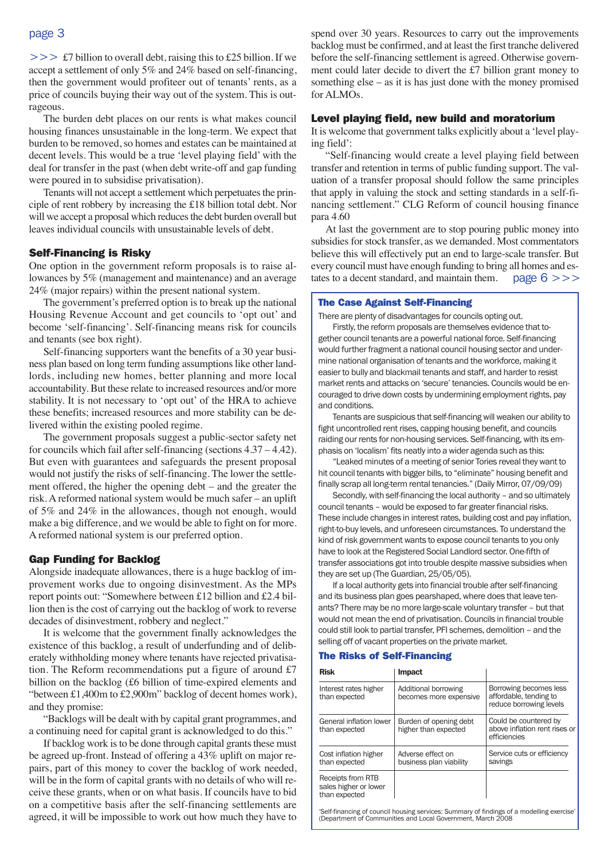>>  $\pounds$ 7 billion to overall debt, raising this to £25 billion. If we accept a settlement of only 5% and 24% based on self-financing, then the government would profiteer out of tenants' rents, as a price of councils buying their way out of the system. This is outrageous.

The burden debt places on our rents is what makes council housing finances unsustainable in the long-term. We expect that burden to be removed, so homes and estates can be maintained at decent levels. This would be a true 'level playing field' with the deal for transfer in the past (when debt write-off and gap funding were poured in to subsidise privatisation).

Tenants will not accept a settlement which perpetuates the principle of rent robbery by increasing the £18 billion total debt. Nor will we accept a proposal which reduces the debt burden overall but leaves individual councils with unsustainable levels of debt.

#### Self-Financing is Risky

One option in the government reform proposals is to raise allowances by 5% (management and maintenance) and an average 24% (major repairs) within the present national system.

The government's preferred option is to break up the national Housing Revenue Account and get councils to 'opt out' and become 'self-financing'. Self-financing means risk for councils and tenants (see box right).

Self-financing supporters want the benefits of a 30 year business plan based on long term funding assumptions like other landlords, including new homes, better planning and more local accountability. But these relate to increased resources and/or more stability. It is not necessary to 'opt out' of the HRA to achieve these benefits; increased resources and more stability can be delivered within the existing pooled regime.

The government proposals suggest a public-sector safety net for councils which fail after self-financing (sections 4.37 – 4.42). But even with guarantees and safeguards the present proposal would not justify the risks of self-financing. The lower the settlement offered, the higher the opening debt – and the greater the risk. A reformed national system would be much safer – an uplift of 5% and 24% in the allowances, though not enough, would make a big difference, and we would be able to fight on for more. A reformed national system is our preferred option.

#### Gap Funding for Backlog

Alongside inadequate allowances, there is a huge backlog of improvement works due to ongoing disinvestment. As the MPs report points out: "Somewhere between £12 billion and £2.4 billion then is the cost of carrying out the backlog of work to reverse decades of disinvestment, robbery and neglect."

It is welcome that the government finally acknowledges the existence of this backlog, a result of underfunding and of deliberately withholding money where tenants have rejected privatisation. The Reform recommendations put a figure of around £7 billion on the backlog (£6 billion of time-expired elements and "between £1,400m to £2,900m" backlog of decent homes work), and they promise:

"Backlogs will be dealt with by capital grant programmes, and a continuing need for capital grant is acknowledged to do this."

If backlog work is to be done through capital grants these must be agreed up-front. Instead of offering a 43% uplift on major repairs, part of this money to cover the backlog of work needed, will be in the form of capital grants with no details of who will receive these grants, when or on what basis. If councils have to bid on a competitive basis after the self-financing settlements are agreed, it will be impossible to work out how much they have to

spend over 30 years. Resources to carry out the improvements backlog must be confirmed, and at least the first tranche delivered before the self-financing settlement is agreed. Otherwise government could later decide to divert the £7 billion grant money to something else – as it is has just done with the money promised for ALMOs.

#### Level playing field, new build and moratorium

It is welcome that government talks explicitly about a 'level playing field':

"Self-financing would create a level playing field between transfer and retention in terms of public funding support. The valuation of a transfer proposal should follow the same principles that apply in valuing the stock and setting standards in a self-financing settlement." CLG Reform of council housing finance para 4.60

At last the government are to stop pouring public money into subsidies for stock transfer, as we demanded. Most commentators believe this will effectively put an end to large-scale transfer. But every council must have enough funding to bring all homes and estates to a decent standard, and maintain them. page  $6 \gg\gt$ 

#### The Case Against Self-Financing

There are plenty of disadvantages for councils opting out.

Firstly, the reform proposals are themselves evidence that together council tenants are a powerful national force. Self-financing would further fragment a national council housing sector and undermine national organisation of tenants and the workforce, making it easier to bully and blackmail tenants and staff, and harder to resist market rents and attacks on 'secure' tenancies. Councils would be encouraged to drive down costs by undermining employment rights, pay and conditions.

Tenants are suspicious that self-financing will weaken our ability to fight uncontrolled rent rises, capping housing benefit, and councils raiding our rents for non-housing services. Self-financing, with its emphasis on 'localism' fits neatly into a wider agenda such as this:

"Leaked minutes of a meeting of senior Tories reveal they want to hit council tenants with bigger bills, to "eliminate" housing benefit and finally scrap all long-term rental tenancies." (Daily Mirror, 07/09/09)

Secondly, with self-financing the local authority – and so ultimately council tenants – would be exposed to far greater financial risks. These include changes in interest rates, building cost and pay inflation, right-to-buy levels, and unforeseen circumstances. To understand the kind of risk government wants to expose council tenants to you only have to look at the Registered Social Landlord sector. One-fifth of transfer associations got into trouble despite massive subsidies when they are set up (The Guardian, 25/05/05).

If a local authority gets into financial trouble after self-financing and its business plan goes pearshaped, where does that leave tenants? There may be no more large-scale voluntary transfer – but that would not mean the end of privatisation. Councils in financial trouble could still look to partial transfer, PFI schemes, demolition – and the selling off of vacant properties on the private market.

#### The Risks of Self-Financing

| <b>Risk</b>                                                 | <b>Impact</b>                                  |                                                                             |
|-------------------------------------------------------------|------------------------------------------------|-----------------------------------------------------------------------------|
| Interest rates higher<br>than expected                      | Additional borrowing<br>becomes more expensive | Borrowing becomes less<br>affordable, tending to<br>reduce borrowing levels |
| General inflation lower<br>than expected                    | Burden of opening debt<br>higher than expected | Could be countered by<br>above inflation rent rises or<br>efficiencies      |
| Cost inflation higher<br>than expected                      | Adverse effect on<br>business plan viability   | Service cuts or efficiency<br>savings                                       |
| Receipts from RTB<br>sales higher or lower<br>than expected |                                                |                                                                             |
|                                                             |                                                |                                                                             |

Self-financing of council housing services: Summary of findings of a modelling exercise (Department of Communities and Local Government, March 2008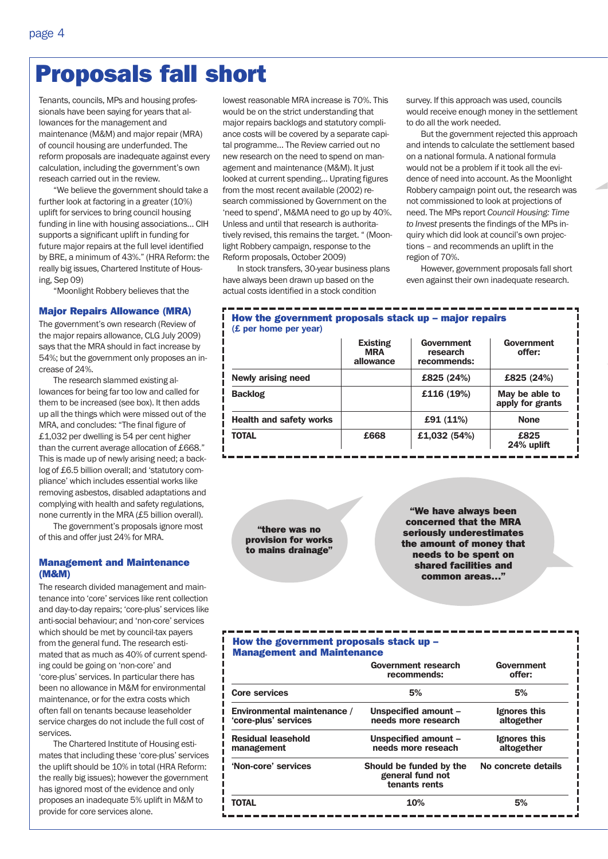# Proposals fall short

Tenants, councils, MPs and housing professionals have been saying for years that allowances for the management and maintenance (M&M) and major repair (MRA) of council housing are underfunded. The reform proposals are inadequate against every calculation, including the government's own reseach carried out in the review.

"We believe the government should take a further look at factoring in a greater (10%) uplift for services to bring council housing funding in line with housing associations… CIH supports a significant uplift in funding for future major repairs at the full level identified by BRE, a minimum of 43%." (HRA Reform: the really big issues, Chartered Institute of Housing, Sep 09)

"Moonlight Robbery believes that the

#### Major Repairs Allowance (MRA)

The government's own research (Review of the major repairs allowance, CLG July 2009) says that the MRA should in fact increase by 54%; but the government only proposes an increase of 24%.

The research slammed existing allowances for being far too low and called for them to be increased (see box). It then adds up all the things which were missed out of the MRA, and concludes: "The final figure of £1,032 per dwelling is 54 per cent higher than the current average allocation of £668." This is made up of newly arising need; a backlog of £6.5 billion overall; and 'statutory compliance' which includes essential works like removing asbestos, disabled adaptations and complying with health and safety regulations, none currently in the MRA (£5 billion overall).

The government's proposals ignore most of this and offer just 24% for MRA.

#### Management and Maintenance (M&M)

The research divided management and maintenance into 'core' services like rent collection and day-to-day repairs; 'core-plus' services like anti-social behaviour; and 'non-core' services which should be met by council-tax payers from the general fund. The research estimated that as much as 40% of current spending could be going on 'non-core' and 'core-plus' services. In particular there has been no allowance in M&M for environmental maintenance, or for the extra costs which often fall on tenants because leaseholder service charges do not include the full cost of services.

The Chartered Institute of Housing estimates that including these 'core-plus' services the uplift should be 10% in total (HRA Reform: the really big issues); however the government has ignored most of the evidence and only proposes an inadequate 5% uplift in M&M to provide for core services alone.

lowest reasonable MRA increase is 70%. This would be on the strict understanding that major repairs backlogs and statutory compliance costs will be covered by a separate capital programme… The Review carried out no new research on the need to spend on management and maintenance (M&M). It just looked at current spending… Uprating figures from the most recent available (2002) research commissioned by Government on the 'need to spend', M&MA need to go up by 40%. Unless and until that research is authoritatively revised, this remains the target. " (Moonlight Robbery campaign, response to the Reform proposals, October 2009)

In stock transfers, 30-year business plans have always been drawn up based on the actual costs identified in a stock condition

survey. If this approach was used, councils would receive enough money in the settlement to do all the work needed.

But the government rejected this approach and intends to calculate the settlement based on a national formula. A national formula would not be a problem if it took all the evidence of need into account. As the Moonlight Robbery campaign point out, the research was not commissioned to look at projections of need. The MPs report *Council Housing: Time to Invest* presents the findings of the MPs inquiry which did look at council's own projections – and recommends an uplift in the region of 70%.

However, government proposals fall short even against their own inadequate research.

#### How the government proposals stack up – major repairs (£ per home per year)

|                                | <b>Existing</b><br><b>MRA</b><br>allowance | Government<br>research<br>recommends: | Government<br>offer:               |
|--------------------------------|--------------------------------------------|---------------------------------------|------------------------------------|
| Newly arising need             |                                            | £825 (24%)                            | £825 (24%)                         |
| <b>Backlog</b>                 |                                            | £116 (19%)                            | May be able to<br>apply for grants |
| <b>Health and safety works</b> |                                            | £91 (11%)                             | <b>None</b>                        |
| TOTAL                          | £668                                       | £1,032 (54%)                          | £825<br>24% uplift                 |

"there was no provision for works to mains drainage"

"We have always been concerned that the MRA seriously underestimates the amount of money that needs to be spent on shared facilities and common areas…"

### How the government proposals stack up – Management and Maintenance

|                                                     | <b>Government research</b><br>recommends:                                           | Government<br>offer:<br>5% |  |
|-----------------------------------------------------|-------------------------------------------------------------------------------------|----------------------------|--|
| <b>Core services</b>                                | 5%                                                                                  |                            |  |
| Environmental maintenance /<br>'core-plus' services | Unspecified amount -<br>needs more research                                         | Ignores this<br>altogether |  |
| <b>Residual leasehold</b><br>management             | Unspecified amount -<br>Ignores this<br>needs more reseach<br>altogether            |                            |  |
| 'Non-core' services                                 | No concrete details<br>Should be funded by the<br>general fund not<br>tenants rents |                            |  |
| <b>TOTAL</b>                                        | 10%                                                                                 | 5%                         |  |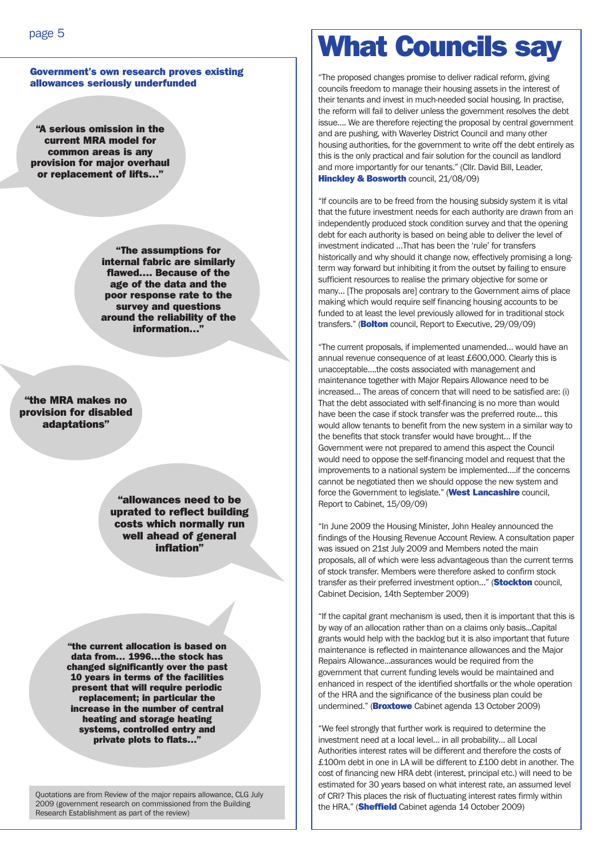#### Government's own research proves existing allowances seriously underfunded

"A serious omission in the current MRA model for common areas is any provision for major overhaul or replacement of lifts…"

> "The assumptions for internal fabric are similarly flawed…. Because of the age of the data and the poor response rate to the survey and questions around the reliability of the information…"

"the MRA makes no provision for disabled adaptations"

> "allowances need to be uprated to reflect building costs which normally run well ahead of general inflation"

"the current allocation is based on data from… 1996…the stock has changed significantly over the past 10 years in terms of the facilities present that will require periodic replacement; in particular the increase in the number of central heating and storage heating systems, controlled entry and private plots to flats…"

Quotations are from Review of the major repairs allowance, CLG July 2009 (government research on commissioned from the Building Research Establishment as part of the review)

# What Councils say

"The proposed changes promise to deliver radical reform, giving councils freedom to manage their housing assets in the interest of their tenants and invest in much-needed social housing. In practise, the reform will fail to deliver unless the government resolves the debt issue…. We are therefore rejecting the proposal by central government and are pushing, with Waverley District Council and many other housing authorities, for the government to write off the debt entirely as this is the only practical and fair solution for the council as landlord and more importantly for our tenants." (Cllr. David Bill, Leader, **Hinckley & Bosworth council, 21/08/09)** 

"If councils are to be freed from the housing subsidy system it is vital that the future investment needs for each authority are drawn from an independently produced stock condition survey and that the opening debt for each authority is based on being able to deliver the level of investment indicated …That has been the 'rule' for transfers historically and why should it change now, effectively promising a longterm way forward but inhibiting it from the outset by failing to ensure sufficient resources to realise the primary objective for some or many… [The proposals are] contrary to the Government aims of place making which would require self financing housing accounts to be funded to at least the level previously allowed for in traditional stock transfers." (**Bolton** council, Report to Executive, 29/09/09)

"The current proposals, if implemented unamended… would have an annual revenue consequence of at least £600,000. Clearly this is unacceptable….the costs associated with management and maintenance together with Major Repairs Allowance need to be increased… The areas of concern that will need to be satisfied are: (i) That the debt associated with self-financing is no more than would have been the case if stock transfer was the preferred route… this would allow tenants to benefit from the new system in a similar way to the benefits that stock transfer would have brought… If the Government were not prepared to amend this aspect the Council would need to oppose the self-financing model and request that the improvements to a national system be implemented….if the concerns cannot be negotiated then we should oppose the new system and force the Government to legislate." (West Lancashire council, Report to Cabinet, 15/09/09)

"In June 2009 the Housing Minister, John Healey announced the findings of the Housing Revenue Account Review. A consultation paper was issued on 21st July 2009 and Members noted the main proposals, all of which were less advantageous than the current terms of stock transfer. Members were therefore asked to confirm stock transfer as their preferred investment option..." (**Stockton** council, Cabinet Decision, 14th September 2009)

"If the capital grant mechanism is used, then it is important that this is by way of an allocation rather than on a claims only basis...Capital grants would help with the backlog but it is also important that future maintenance is reflected in maintenance allowances and the Major Repairs Allowance...assurances would be required from the government that current funding levels would be maintained and enhanced in respect of the identified shortfalls or the whole operation of the HRA and the significance of the business plan could be undermined." (**Broxtowe** Cabinet agenda 13 October 2009)

"We feel strongly that further work is required to determine the investment need at a local level… in all probability… all Local Authorities interest rates will be different and therefore the costs of £100m debt in one in LA will be different to £100 debt in another. The cost of financing new HRA debt (interest, principal etc.) will need to be estimated for 30 years based on what interest rate, an assumed level of CRI? This places the risk of fluctuating interest rates firmly within the HRA." (**Sheffield** Cabinet agenda 14 October 2009)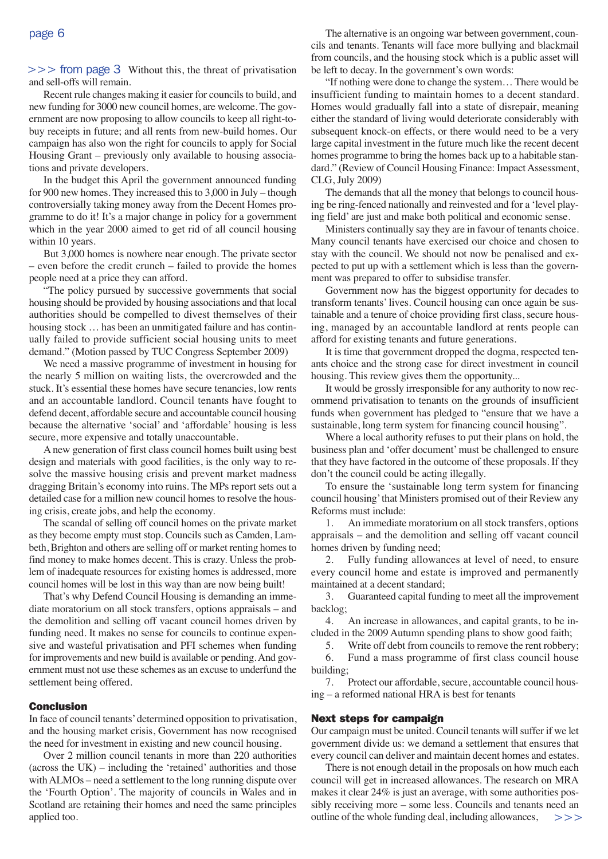$>>$  from page 3 Without this, the threat of privatisation and sell-offs will remain.

Recent rule changes making it easier for councils to build, and new funding for 3000 new council homes, are welcome. The government are now proposing to allow councils to keep all right-tobuy receipts in future; and all rents from new-build homes. Our campaign has also won the right for councils to apply for Social Housing Grant – previously only available to housing associations and private developers.

In the budget this April the government announced funding for 900 new homes. They increased this to 3,000 in July – though controversially taking money away from the Decent Homes programme to do it! It's a major change in policy for a government which in the year 2000 aimed to get rid of all council housing within 10 years.

But 3,000 homes is nowhere near enough. The private sector – even before the credit crunch – failed to provide the homes people need at a price they can afford.

"The policy pursued by successive governments that social housing should be provided by housing associations and that local authorities should be compelled to divest themselves of their housing stock … has been an unmitigated failure and has continually failed to provide sufficient social housing units to meet demand." (Motion passed by TUC Congress September 2009)

We need a massive programme of investment in housing for the nearly 5 million on waiting lists, the overcrowded and the stuck. It's essential these homes have secure tenancies, low rents and an accountable landlord. Council tenants have fought to defend decent, affordable secure and accountable council housing because the alternative 'social' and 'affordable' housing is less secure, more expensive and totally unaccountable.

A new generation of first class council homes built using best design and materials with good facilities, is the only way to resolve the massive housing crisis and prevent market madness dragging Britain's economy into ruins. The MPs report sets out a detailed case for a million new council homes to resolve the housing crisis, create jobs, and help the economy.

The scandal of selling off council homes on the private market as they become empty must stop. Councils such as Camden, Lambeth, Brighton and others are selling off or market renting homes to find money to make homes decent. This is crazy. Unless the problem of inadequate resources for existing homes is addressed, more council homes will be lost in this way than are now being built!

That's why Defend Council Housing is demanding an immediate moratorium on all stock transfers, options appraisals – and the demolition and selling off vacant council homes driven by funding need. It makes no sense for councils to continue expensive and wasteful privatisation and PFI schemes when funding for improvements and new build is available or pending. And government must not use these schemes as an excuse to underfund the settlement being offered.

#### Conclusion

In face of council tenants' determined opposition to privatisation, and the housing market crisis, Government has now recognised the need for investment in existing and new council housing.

Over 2 million council tenants in more than 220 authorities (across the UK) – including the 'retained' authorities and those with ALMOs – need a settlement to the long running dispute over the 'Fourth Option'. The majority of councils in Wales and in Scotland are retaining their homes and need the same principles applied too.

The alternative is an ongoing war between government, councils and tenants. Tenants will face more bullying and blackmail from councils, and the housing stock which is a public asset will be left to decay. In the government's own words:

"If nothing were done to change the system… There would be insufficient funding to maintain homes to a decent standard. Homes would gradually fall into a state of disrepair, meaning either the standard of living would deteriorate considerably with subsequent knock-on effects, or there would need to be a very large capital investment in the future much like the recent decent homes programme to bring the homes back up to a habitable standard." (Review of Council Housing Finance: Impact Assessment, CLG, July 2009)

The demands that all the money that belongs to council housing be ring-fenced nationally and reinvested and for a 'level playing field' are just and make both political and economic sense.

Ministers continually say they are in favour of tenants choice. Many council tenants have exercised our choice and chosen to stay with the council. We should not now be penalised and expected to put up with a settlement which is less than the government was prepared to offer to subsidise transfer.

Government now has the biggest opportunity for decades to transform tenants' lives. Council housing can once again be sustainable and a tenure of choice providing first class, secure housing, managed by an accountable landlord at rents people can afford for existing tenants and future generations.

It is time that government dropped the dogma, respected tenants choice and the strong case for direct investment in council housing. This review gives them the opportunity...

It would be grossly irresponsible for any authority to now recommend privatisation to tenants on the grounds of insufficient funds when government has pledged to "ensure that we have a sustainable, long term system for financing council housing".

Where a local authority refuses to put their plans on hold, the business plan and 'offer document' must be challenged to ensure that they have factored in the outcome of these proposals. If they don't the council could be acting illegally.

To ensure the 'sustainable long term system for financing council housing' that Ministers promised out of their Review any Reforms must include:

1. An immediate moratorium on all stock transfers, options appraisals – and the demolition and selling off vacant council homes driven by funding need;

2. Fully funding allowances at level of need, to ensure every council home and estate is improved and permanently maintained at a decent standard;

3. Guaranteed capital funding to meet all the improvement backlog;

4. An increase in allowances, and capital grants, to be included in the 2009 Autumn spending plans to show good faith;

5. Write off debt from councils to remove the rent robbery;

6. Fund a mass programme of first class council house building;

7. Protect our affordable, secure, accountable council housing – a reformed national HRA is best for tenants

#### Next steps for campaign

Our campaign must be united. Council tenants will suffer if we let government divide us: we demand a settlement that ensures that every council can deliver and maintain decent homes and estates.

There is not enough detail in the proposals on how much each council will get in increased allowances. The research on MRA makes it clear 24% is just an average, with some authorities possibly receiving more – some less. Councils and tenants need an outline of the whole funding deal, including allowances,  $>>$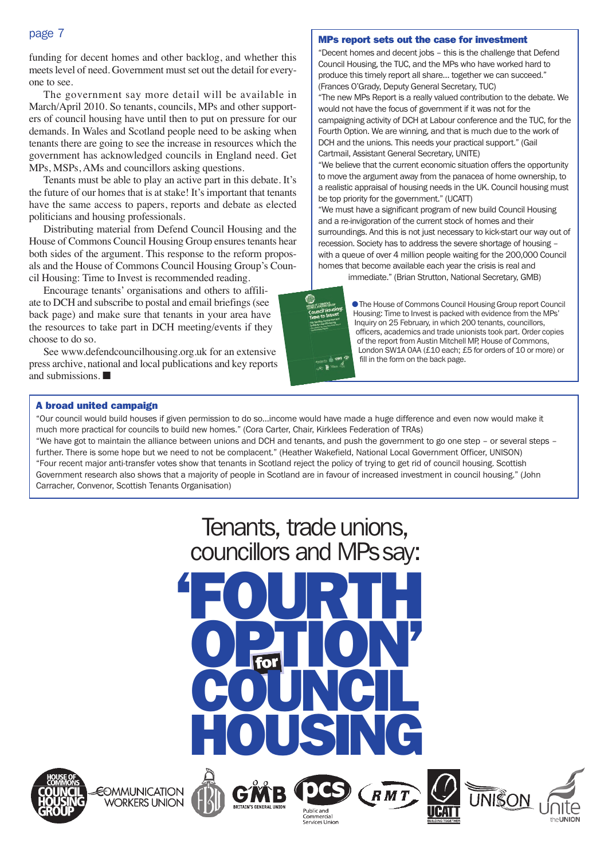### page 7

funding for decent homes and other backlog, and whether this meets level of need. Government must set out the detail for everyone to see.

The government say more detail will be available in March/April 2010. So tenants, councils, MPs and other supporters of council housing have until then to put on pressure for our demands. In Wales and Scotland people need to be asking when tenants there are going to see the increase in resources which the government has acknowledged councils in England need. Get MPs, MSPs, AMs and councillors asking questions.

Tenants must be able to play an active part in this debate. It's the future of our homes that is at stake! It's important that tenants have the same access to papers, reports and debate as elected politicians and housing professionals.

Distributing material from Defend Council Housing and the House of Commons Council Housing Group ensures tenants hear both sides of the argument. This response to the reform proposals and the House of Commons Council Housing Group's Council Housing: Time to Invest is recommended reading.

Encourage tenants' organisations and others to affiliate to DCH and subscribe to postal and email briefings (see back page) and make sure that tenants in your area have the resources to take part in DCH meeting/events if they choose to do so.

See www.defendcouncilhousing.org.uk for an extensive press archive, national and local publications and key reports and submissions. ■

#### MPs report sets out the case for investment

"Decent homes and decent jobs – this is the challenge that Defend Council Housing, the TUC, and the MPs who have worked hard to produce this timely report all share… together we can succeed." (Frances O'Grady, Deputy General Secretary, TUC)

"The new MPs Report is a really valued contribution to the debate. We would not have the focus of government if it was not for the campaigning activity of DCH at Labour conference and the TUC, for the Fourth Option. We are winning, and that is much due to the work of DCH and the unions. This needs your practical support." (Gail Cartmail, Assistant General Secretary, UNITE)

"We believe that the current economic situation offers the opportunity to move the argument away from the panacea of home ownership, to a realistic appraisal of housing needs in the UK. Council housing must be top priority for the government." (UCATT)

"We must have a significant program of new build Council Housing and a re-invigoration of the current stock of homes and their surroundings. And this is not just necessary to kick-start our way out of recession. Society has to address the severe shortage of housing – with a queue of over 4 million people waiting for the 200,000 Council homes that become available each year the crisis is real and

immediate." (Brian Strutton, National Secretary, GMB)



● The House of Commons Council Housing Group report Council Housing: Time to Invest is packed with evidence from the MPs' Inquiry on 25 February, in which 200 tenants, councillors, officers, academics and trade unionists took part. Order copies of the report from Austin Mitchell MP, House of Commons, London SW1A 0AA (£10 each; £5 for orders of 10 or more) or fill in the form on the back page.

#### A broad united campaign

"Our council would build houses if given permission to do so…income would have made a huge difference and even now would make it much more practical for councils to build new homes." (Cora Carter, Chair, Kirklees Federation of TRAs)

"We have got to maintain the alliance between unions and DCH and tenants, and push the government to go one step – or several steps – further. There is some hope but we need to not be complacent." (Heather Wakefield, National Local Government Officer, UNISON) "Four recent major anti-transfer votes show that tenants in Scotland reject the policy of trying to get rid of council housing. Scottish Government research also shows that a majority of people in Scotland are in favour of increased investment in council housing." (John Carracher, Convenor, Scottish Tenants Organisation)